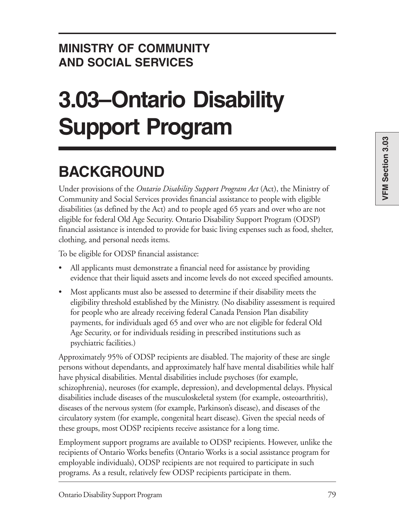# **MINISTRY OF COMMUNITY AND SOCIAL SERVICES**

# **3.03–Ontario Disability Support Program**

# **BACKGROUND**

Under provisions of the *Ontario Disability Support Program Act* (Act), the Ministry of Community and Social Services provides financial assistance to people with eligible disabilities (as defined by the Act) and to people aged 65 years and over who are not eligible for federal Old Age Security. Ontario Disability Support Program (ODSP) financial assistance is intended to provide for basic living expenses such as food, shelter, clothing, and personal needs items.

To be eligible for ODSP financial assistance:

- All applicants must demonstrate a financial need for assistance by providing evidence that their liquid assets and income levels do not exceed specified amounts.
- Most applicants must also be assessed to determine if their disability meets the eligibility threshold established by the Ministry. (No disability assessment is required for people who are already receiving federal Canada Pension Plan disability payments, for individuals aged 65 and over who are not eligible for federal Old Age Security, or for individuals residing in prescribed institutions such as psychiatric facilities.)

Approximately 95% of ODSP recipients are disabled. The majority of these are single persons without dependants, and approximately half have mental disabilities while half have physical disabilities. Mental disabilities include psychoses (for example, schizophrenia), neuroses (for example, depression), and developmental delays. Physical disabilities include diseases of the musculoskeletal system (for example, osteoarthritis), diseases of the nervous system (for example, Parkinson's disease), and diseases of the circulatory system (for example, congenital heart disease). Given the special needs of these groups, most ODSP recipients receive assistance for a long time.

Employment support programs are available to ODSP recipients. However, unlike the recipients of Ontario Works benefits (Ontario Works is a social assistance program for employable individuals), ODSP recipients are not required to participate in such programs. As a result, relatively few ODSP recipients participate in them.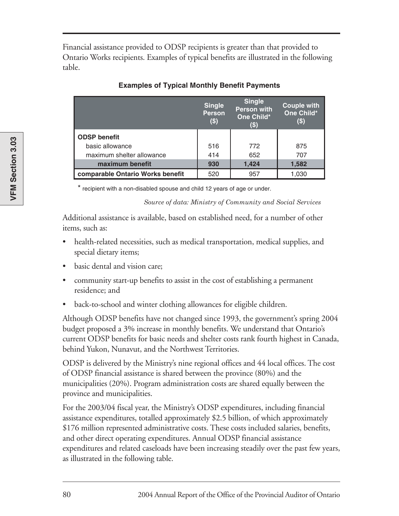Financial assistance provided to ODSP recipients is greater than that provided to Ontario Works recipients. Examples of typical benefits are illustrated in the following table.

|                                  | <b>Single</b><br><b>Person</b><br>$($ \$) | <b>Single</b><br><b>Person with</b><br>One Child*<br>$\left( \text{\$}\right)$ | <b>Couple with</b><br>One Child*<br>$($)$ |
|----------------------------------|-------------------------------------------|--------------------------------------------------------------------------------|-------------------------------------------|
| <b>ODSP benefit</b>              |                                           |                                                                                |                                           |
| basic allowance                  | 516                                       | 772                                                                            | 875                                       |
| maximum shelter allowance        | 414                                       | 652                                                                            | 707                                       |
| maximum benefit                  | 930                                       | 1,424                                                                          | 1,582                                     |
| comparable Ontario Works benefit | 520                                       | 957                                                                            | 1,030                                     |

#### **Examples of Typical Monthly Benefit Payments**

\* recipient with a non-disabled spouse and child 12 years of age or under.

*Source of data: Ministry of Community and Social Services*

Additional assistance is available, based on established need, for a number of other items, such as:

- health-related necessities, such as medical transportation, medical supplies, and special dietary items;
- basic dental and vision care;
- community start-up benefits to assist in the cost of establishing a permanent residence; and
- back-to-school and winter clothing allowances for eligible children.

Although ODSP benefits have not changed since 1993, the government's spring 2004 budget proposed a 3% increase in monthly benefits. We understand that Ontario's current ODSP benefits for basic needs and shelter costs rank fourth highest in Canada, behind Yukon, Nunavut, and the Northwest Territories.

ODSP is delivered by the Ministry's nine regional offices and 44 local offices. The cost of ODSP financial assistance is shared between the province (80%) and the municipalities (20%). Program administration costs are shared equally between the province and municipalities.

For the 2003/04 fiscal year, the Ministry's ODSP expenditures, including financial assistance expenditures, totalled approximately \$2.5 billion, of which approximately \$176 million represented administrative costs. These costs included salaries, benefits, and other direct operating expenditures. Annual ODSP financial assistance expenditures and related caseloads have been increasing steadily over the past few years, as illustrated in the following table.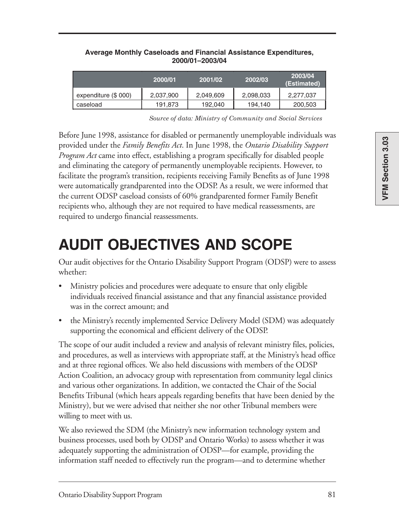|                      | 2000/01   | 2001/02   | 2002/03   | 2003/04<br>'(Estimated) |
|----------------------|-----------|-----------|-----------|-------------------------|
| expenditure (\$ 000) | 2,037,900 | 2,049,609 | 2,098,033 | 2,277,037               |
| caseload             | 191,873   | 192,040   | 194,140   | 200,503                 |

#### **Average Monthly Caseloads and Financial Assistance Expenditures, 2000/01–2003/04**

*Source of data: Ministry of Community and Social Services* 

Before June 1998, assistance for disabled or permanently unemployable individuals was provided under the *Family Benefits Act*. In June 1998, the *Ontario Disability Support Program Act* came into effect, establishing a program specifically for disabled people and eliminating the category of permanently unemployable recipients. However, to facilitate the program's transition, recipients receiving Family Benefits as of June 1998 were automatically grandparented into the ODSP. As a result, we were informed that the current ODSP caseload consists of 60% grandparented former Family Benefit recipients who, although they are not required to have medical reassessments, are required to undergo financial reassessments.

# **AUDIT OBJECTIVES AND SCOPE**

Our audit objectives for the Ontario Disability Support Program (ODSP) were to assess whether:

- Ministry policies and procedures were adequate to ensure that only eligible individuals received financial assistance and that any financial assistance provided was in the correct amount; and
- the Ministry's recently implemented Service Delivery Model (SDM) was adequately supporting the economical and efficient delivery of the ODSP.

The scope of our audit included a review and analysis of relevant ministry files, policies, and procedures, as well as interviews with appropriate staff, at the Ministry's head office and at three regional offices. We also held discussions with members of the ODSP Action Coalition, an advocacy group with representation from community legal clinics and various other organizations. In addition, we contacted the Chair of the Social Benefits Tribunal (which hears appeals regarding benefits that have been denied by the Ministry), but we were advised that neither she nor other Tribunal members were willing to meet with us.

We also reviewed the SDM (the Ministry's new information technology system and business processes, used both by ODSP and Ontario Works) to assess whether it was adequately supporting the administration of ODSP—for example, providing the information staff needed to effectively run the program—and to determine whether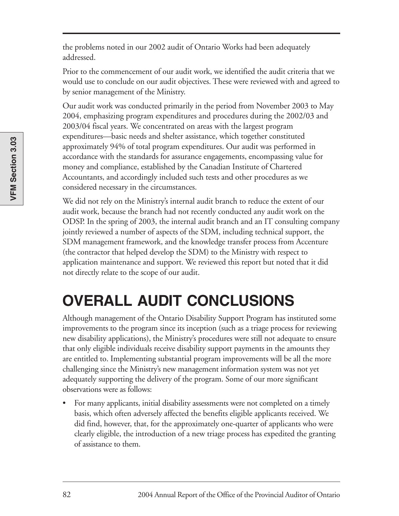the problems noted in our 2002 audit of Ontario Works had been adequately addressed.

Prior to the commencement of our audit work, we identified the audit criteria that we would use to conclude on our audit objectives. These were reviewed with and agreed to by senior management of the Ministry.

Our audit work was conducted primarily in the period from November 2003 to May 2004, emphasizing program expenditures and procedures during the 2002/03 and 2003/04 fiscal years. We concentrated on areas with the largest program expenditures—basic needs and shelter assistance, which together constituted approximately 94% of total program expenditures. Our audit was performed in accordance with the standards for assurance engagements, encompassing value for money and compliance, established by the Canadian Institute of Chartered Accountants, and accordingly included such tests and other procedures as we considered necessary in the circumstances.

We did not rely on the Ministry's internal audit branch to reduce the extent of our audit work, because the branch had not recently conducted any audit work on the ODSP. In the spring of 2003, the internal audit branch and an IT consulting company jointly reviewed a number of aspects of the SDM, including technical support, the SDM management framework, and the knowledge transfer process from Accenture (the contractor that helped develop the SDM) to the Ministry with respect to application maintenance and support. We reviewed this report but noted that it did not directly relate to the scope of our audit.

# **OVERALL AUDIT CONCLUSIONS**

Although management of the Ontario Disability Support Program has instituted some improvements to the program since its inception (such as a triage process for reviewing new disability applications), the Ministry's procedures were still not adequate to ensure that only eligible individuals receive disability support payments in the amounts they are entitled to. Implementing substantial program improvements will be all the more challenging since the Ministry's new management information system was not yet adequately supporting the delivery of the program. Some of our more significant observations were as follows:

• For many applicants, initial disability assessments were not completed on a timely basis, which often adversely affected the benefits eligible applicants received. We did find, however, that, for the approximately one-quarter of applicants who were clearly eligible, the introduction of a new triage process has expedited the granting of assistance to them.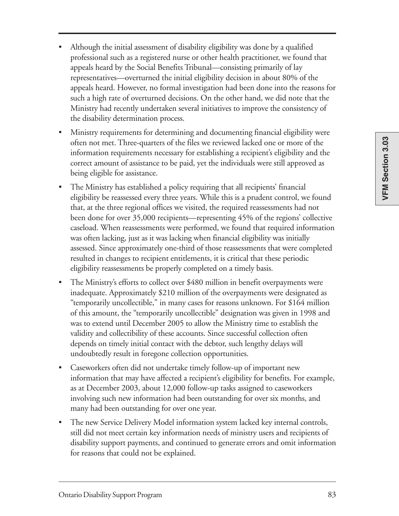- Although the initial assessment of disability eligibility was done by a qualified professional such as a registered nurse or other health practitioner, we found that appeals heard by the Social Benefits Tribunal—consisting primarily of lay representatives—overturned the initial eligibility decision in about 80% of the appeals heard. However, no formal investigation had been done into the reasons for such a high rate of overturned decisions. On the other hand, we did note that the Ministry had recently undertaken several initiatives to improve the consistency of the disability determination process.
- Ministry requirements for determining and documenting financial eligibility were often not met. Three-quarters of the files we reviewed lacked one or more of the information requirements necessary for establishing a recipient's eligibility and the correct amount of assistance to be paid, yet the individuals were still approved as being eligible for assistance.
- The Ministry has established a policy requiring that all recipients' financial eligibility be reassessed every three years. While this is a prudent control, we found that, at the three regional offices we visited, the required reassessments had not been done for over 35,000 recipients—representing 45% of the regions' collective caseload. When reassessments were performed, we found that required information was often lacking, just as it was lacking when financial eligibility was initially assessed. Since approximately one-third of those reassessments that were completed resulted in changes to recipient entitlements, it is critical that these periodic eligibility reassessments be properly completed on a timely basis.
- The Ministry's efforts to collect over \$480 million in benefit overpayments were inadequate. Approximately \$210 million of the overpayments were designated as "temporarily uncollectible," in many cases for reasons unknown. For \$164 million of this amount, the "temporarily uncollectible" designation was given in 1998 and was to extend until December 2005 to allow the Ministry time to establish the validity and collectibility of these accounts. Since successful collection often depends on timely initial contact with the debtor, such lengthy delays will undoubtedly result in foregone collection opportunities.
- Caseworkers often did not undertake timely follow-up of important new information that may have affected a recipient's eligibility for benefits. For example, as at December 2003, about 12,000 follow-up tasks assigned to caseworkers involving such new information had been outstanding for over six months, and many had been outstanding for over one year.
- The new Service Delivery Model information system lacked key internal controls, still did not meet certain key information needs of ministry users and recipients of disability support payments, and continued to generate errors and omit information for reasons that could not be explained.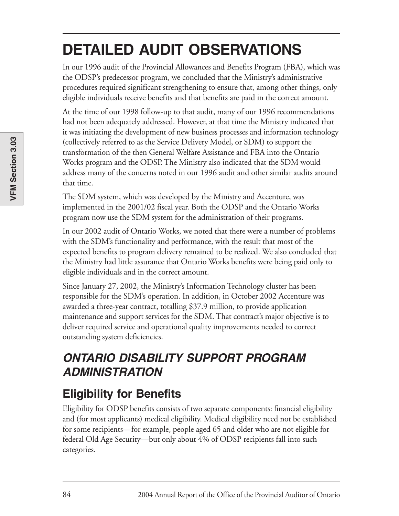# **DETAILED AUDIT OBSERVATIONS**

In our 1996 audit of the Provincial Allowances and Benefits Program (FBA), which was the ODSP's predecessor program, we concluded that the Ministry's administrative procedures required significant strengthening to ensure that, among other things, only eligible individuals receive benefits and that benefits are paid in the correct amount.

At the time of our 1998 follow-up to that audit, many of our 1996 recommendations had not been adequately addressed. However, at that time the Ministry indicated that it was initiating the development of new business processes and information technology (collectively referred to as the Service Delivery Model, or SDM) to support the transformation of the then General Welfare Assistance and FBA into the Ontario Works program and the ODSP. The Ministry also indicated that the SDM would address many of the concerns noted in our 1996 audit and other similar audits around that time.

The SDM system, which was developed by the Ministry and Accenture, was implemented in the 2001/02 fiscal year. Both the ODSP and the Ontario Works program now use the SDM system for the administration of their programs.

In our 2002 audit of Ontario Works, we noted that there were a number of problems with the SDM's functionality and performance, with the result that most of the expected benefits to program delivery remained to be realized. We also concluded that the Ministry had little assurance that Ontario Works benefits were being paid only to eligible individuals and in the correct amount.

Since January 27, 2002, the Ministry's Information Technology cluster has been responsible for the SDM's operation. In addition, in October 2002 Accenture was awarded a three-year contract, totalling \$37.9 million, to provide application maintenance and support services for the SDM. That contract's major objective is to deliver required service and operational quality improvements needed to correct outstanding system deficiencies.

# **ONTARIO DISABILITY SUPPORT PROGRAM ADMINISTRATION**

# **Eligibility for Benefits**

Eligibility for ODSP benefits consists of two separate components: financial eligibility and (for most applicants) medical eligibility. Medical eligibility need not be established for some recipients—for example, people aged 65 and older who are not eligible for federal Old Age Security—but only about 4% of ODSP recipients fall into such categories.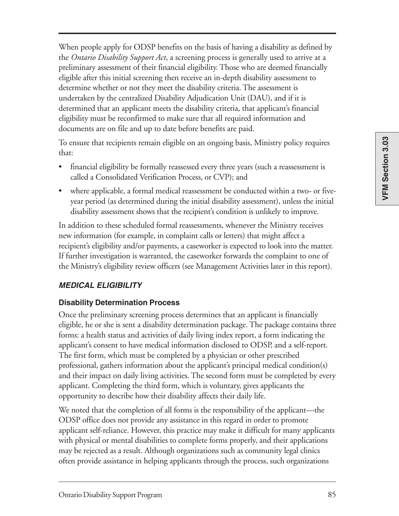VFM Section 3.03 **VFM Section 3.03**

When people apply for ODSP benefits on the basis of having a disability as defined by the *Ontario Disability Support Act*, a screening process is generally used to arrive at a preliminary assessment of their financial eligibility. Those who are deemed financially eligible after this initial screening then receive an in-depth disability assessment to determine whether or not they meet the disability criteria. The assessment is undertaken by the centralized Disability Adjudication Unit (DAU), and if it is determined that an applicant meets the disability criteria, that applicant's financial eligibility must be reconfirmed to make sure that all required information and documents are on file and up to date before benefits are paid.

To ensure that recipients remain eligible on an ongoing basis, Ministry policy requires that:

- financial eligibility be formally reassessed every three years (such a reassessment is called a Consolidated Verification Process, or CVP); and
- where applicable, a formal medical reassessment be conducted within a two- or fiveyear period (as determined during the initial disability assessment), unless the initial disability assessment shows that the recipient's condition is unlikely to improve.

In addition to these scheduled formal reassessments, whenever the Ministry receives new information (for example, in complaint calls or letters) that might affect a recipient's eligibility and/or payments, a caseworker is expected to look into the matter. If further investigation is warranted, the caseworker forwards the complaint to one of the Ministry's eligibility review officers (see Management Activities later in this report).

#### **MEDICAL ELIGIBILITY**

#### **Disability Determination Process**

Once the preliminary screening process determines that an applicant is financially eligible, he or she is sent a disability determination package. The package contains three forms: a health status and activities of daily living index report, a form indicating the applicant's consent to have medical information disclosed to ODSP, and a self-report. The first form, which must be completed by a physician or other prescribed professional, gathers information about the applicant's principal medical condition(s) and their impact on daily living activities. The second form must be completed by every applicant. Completing the third form, which is voluntary, gives applicants the opportunity to describe how their disability affects their daily life.

We noted that the completion of all forms is the responsibility of the applicant—the ODSP office does not provide any assistance in this regard in order to promote applicant self-reliance. However, this practice may make it difficult for many applicants with physical or mental disabilities to complete forms properly, and their applications may be rejected as a result. Although organizations such as community legal clinics often provide assistance in helping applicants through the process, such organizations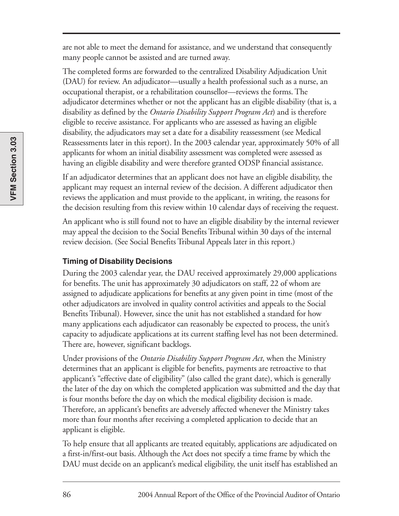are not able to meet the demand for assistance, and we understand that consequently many people cannot be assisted and are turned away.

The completed forms are forwarded to the centralized Disability Adjudication Unit (DAU) for review. An adjudicator—usually a health professional such as a nurse, an occupational therapist, or a rehabilitation counsellor—reviews the forms. The adjudicator determines whether or not the applicant has an eligible disability (that is, a disability as defined by the *Ontario Disability Support Program Act*) and is therefore eligible to receive assistance. For applicants who are assessed as having an eligible disability, the adjudicators may set a date for a disability reassessment (see Medical Reassessments later in this report). In the 2003 calendar year, approximately 50% of all applicants for whom an initial disability assessment was completed were assessed as having an eligible disability and were therefore granted ODSP financial assistance.

If an adjudicator determines that an applicant does not have an eligible disability, the applicant may request an internal review of the decision. A different adjudicator then reviews the application and must provide to the applicant, in writing, the reasons for the decision resulting from this review within 10 calendar days of receiving the request.

An applicant who is still found not to have an eligible disability by the internal reviewer may appeal the decision to the Social Benefits Tribunal within 30 days of the internal review decision. (See Social Benefits Tribunal Appeals later in this report.)

#### **Timing of Disability Decisions**

During the 2003 calendar year, the DAU received approximately 29,000 applications for benefits. The unit has approximately 30 adjudicators on staff, 22 of whom are assigned to adjudicate applications for benefits at any given point in time (most of the other adjudicators are involved in quality control activities and appeals to the Social Benefits Tribunal). However, since the unit has not established a standard for how many applications each adjudicator can reasonably be expected to process, the unit's capacity to adjudicate applications at its current staffing level has not been determined. There are, however, significant backlogs.

Under provisions of the *Ontario Disability Support Program Act*, when the Ministry determines that an applicant is eligible for benefits, payments are retroactive to that applicant's "effective date of eligibility" (also called the grant date), which is generally the later of the day on which the completed application was submitted and the day that is four months before the day on which the medical eligibility decision is made. Therefore, an applicant's benefits are adversely affected whenever the Ministry takes more than four months after receiving a completed application to decide that an applicant is eligible.

To help ensure that all applicants are treated equitably, applications are adjudicated on a first-in/first-out basis. Although the Act does not specify a time frame by which the DAU must decide on an applicant's medical eligibility, the unit itself has established an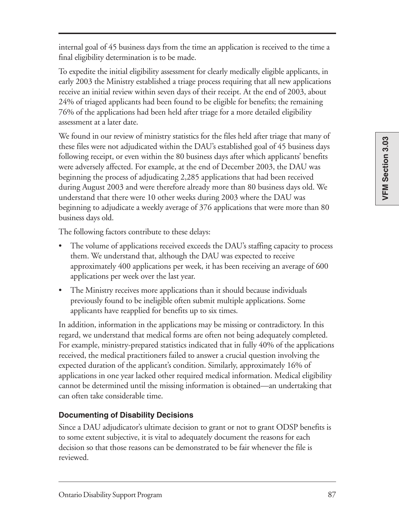internal goal of 45 business days from the time an application is received to the time a final eligibility determination is to be made.

To expedite the initial eligibility assessment for clearly medically eligible applicants, in early 2003 the Ministry established a triage process requiring that all new applications receive an initial review within seven days of their receipt. At the end of 2003, about 24% of triaged applicants had been found to be eligible for benefits; the remaining 76% of the applications had been held after triage for a more detailed eligibility assessment at a later date.

We found in our review of ministry statistics for the files held after triage that many of these files were not adjudicated within the DAU's established goal of 45 business days following receipt, or even within the 80 business days after which applicants' benefits were adversely affected. For example, at the end of December 2003, the DAU was beginning the process of adjudicating 2,285 applications that had been received during August 2003 and were therefore already more than 80 business days old. We understand that there were 10 other weeks during 2003 where the DAU was beginning to adjudicate a weekly average of 376 applications that were more than 80 business days old.

The following factors contribute to these delays:

- The volume of applications received exceeds the DAU's staffing capacity to process them. We understand that, although the DAU was expected to receive approximately 400 applications per week, it has been receiving an average of 600 applications per week over the last year.
- The Ministry receives more applications than it should because individuals previously found to be ineligible often submit multiple applications. Some applicants have reapplied for benefits up to six times.

In addition, information in the applications may be missing or contradictory. In this regard, we understand that medical forms are often not being adequately completed. For example, ministry-prepared statistics indicated that in fully 40% of the applications received, the medical practitioners failed to answer a crucial question involving the expected duration of the applicant's condition. Similarly, approximately 16% of applications in one year lacked other required medical information. Medical eligibility cannot be determined until the missing information is obtained—an undertaking that can often take considerable time.

#### **Documenting of Disability Decisions**

Since a DAU adjudicator's ultimate decision to grant or not to grant ODSP benefits is to some extent subjective, it is vital to adequately document the reasons for each decision so that those reasons can be demonstrated to be fair whenever the file is reviewed.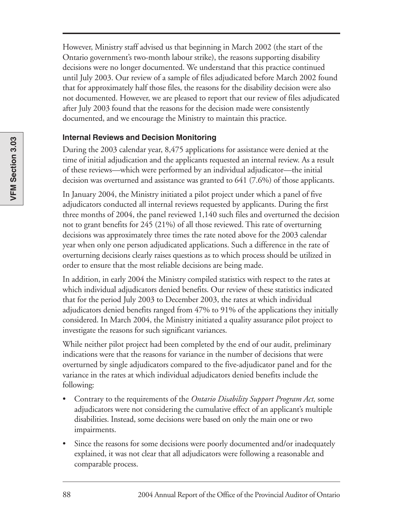However, Ministry staff advised us that beginning in March 2002 (the start of the Ontario government's two-month labour strike), the reasons supporting disability decisions were no longer documented. We understand that this practice continued until July 2003. Our review of a sample of files adjudicated before March 2002 found that for approximately half those files, the reasons for the disability decision were also not documented. However, we are pleased to report that our review of files adjudicated after July 2003 found that the reasons for the decision made were consistently documented, and we encourage the Ministry to maintain this practice.

#### **Internal Reviews and Decision Monitoring**

During the 2003 calendar year, 8,475 applications for assistance were denied at the time of initial adjudication and the applicants requested an internal review. As a result of these reviews—which were performed by an individual adjudicator—the initial decision was overturned and assistance was granted to 641 (7.6%) of those applicants.

In January 2004, the Ministry initiated a pilot project under which a panel of five adjudicators conducted all internal reviews requested by applicants. During the first three months of 2004, the panel reviewed 1,140 such files and overturned the decision not to grant benefits for 245 (21%) of all those reviewed. This rate of overturning decisions was approximately three times the rate noted above for the 2003 calendar year when only one person adjudicated applications. Such a difference in the rate of overturning decisions clearly raises questions as to which process should be utilized in order to ensure that the most reliable decisions are being made.

In addition, in early 2004 the Ministry compiled statistics with respect to the rates at which individual adjudicators denied benefits. Our review of these statistics indicated that for the period July 2003 to December 2003, the rates at which individual adjudicators denied benefits ranged from 47% to 91% of the applications they initially considered. In March 2004, the Ministry initiated a quality assurance pilot project to investigate the reasons for such significant variances.

While neither pilot project had been completed by the end of our audit, preliminary indications were that the reasons for variance in the number of decisions that were overturned by single adjudicators compared to the five-adjudicator panel and for the variance in the rates at which individual adjudicators denied benefits include the following:

- Contrary to the requirements of the *Ontario Disability Support Program Act,* some adjudicators were not considering the cumulative effect of an applicant's multiple disabilities. Instead, some decisions were based on only the main one or two impairments.
- Since the reasons for some decisions were poorly documented and/or inadequately explained, it was not clear that all adjudicators were following a reasonable and comparable process.

**VFM Section 3.03**

VFM Section 3.03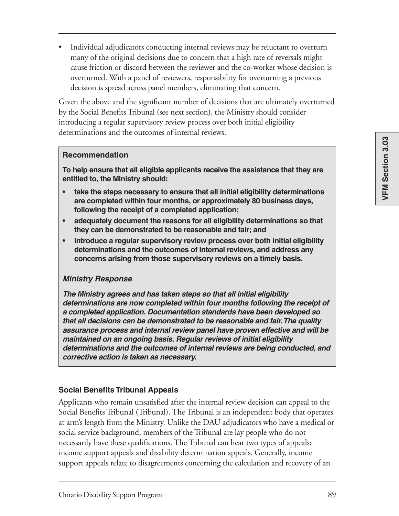• Individual adjudicators conducting internal reviews may be reluctant to overturn many of the original decisions due to concern that a high rate of reversals might cause friction or discord between the reviewer and the co-worker whose decision is overturned. With a panel of reviewers, responsibility for overturning a previous decision is spread across panel members, eliminating that concern.

Given the above and the significant number of decisions that are ultimately overturned by the Social Benefits Tribunal (see next section), the Ministry should consider introducing a regular supervisory review process over both initial eligibility determinations and the outcomes of internal reviews.

#### **Recommendation**

**To help ensure that all eligible applicants receive the assistance that they are entitled to, the Ministry should:**

- **take the steps necessary to ensure that all initial eligibility determinations are completed within four months, or approximately 80 business days, following the receipt of a completed application;**
- **adequately document the reasons for all eligibility determinations so that they can be demonstrated to be reasonable and fair; and**
- **introduce a regular supervisory review process over both initial eligibility determinations and the outcomes of internal reviews, and address any concerns arising from those supervisory reviews on a timely basis.**

#### **Ministry Response**

**The Ministry agrees and has taken steps so that all initial eligibility determinations are now completed within four months following the receipt of a completed application. Documentation standards have been developed so that all decisions can be demonstrated to be reasonable and fair. The quality assurance process and internal review panel have proven effective and will be maintained on an ongoing basis. Regular reviews of initial eligibility determinations and the outcomes of internal reviews are being conducted, and corrective action is taken as necessary.**

#### **Social Benefits Tribunal Appeals**

Applicants who remain unsatisfied after the internal review decision can appeal to the Social Benefits Tribunal (Tribunal). The Tribunal is an independent body that operates at arm's length from the Ministry. Unlike the DAU adjudicators who have a medical or social service background, members of the Tribunal are lay people who do not necessarily have these qualifications. The Tribunal can hear two types of appeals: income support appeals and disability determination appeals. Generally, income support appeals relate to disagreements concerning the calculation and recovery of an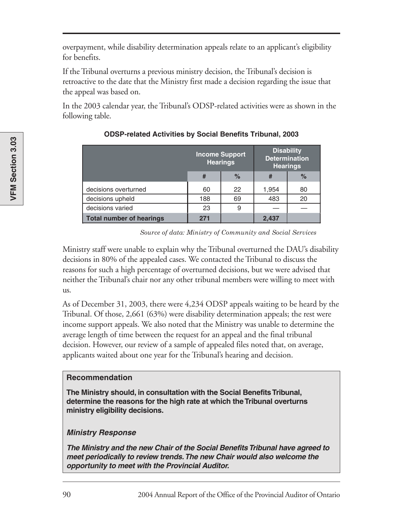overpayment, while disability determination appeals relate to an applicant's eligibility for benefits.

If the Tribunal overturns a previous ministry decision, the Tribunal's decision is retroactive to the date that the Ministry first made a decision regarding the issue that the appeal was based on.

In the 2003 calendar year, the Tribunal's ODSP-related activities were as shown in the following table.

|                                 | <b>Income Support</b><br><b>Hearings</b> |      | <b>Disability</b><br><b>Determination</b><br><b>Hearings</b> |      |
|---------------------------------|------------------------------------------|------|--------------------------------------------------------------|------|
|                                 | #                                        | $\%$ |                                                              | $\%$ |
| decisions overturned            | 60                                       | 22   | 1,954                                                        | 80   |
| decisions upheld                | 188                                      | 69   | 483                                                          | 20   |
| decisions varied                | 23                                       | 9    |                                                              |      |
| <b>Total number of hearings</b> | 271                                      |      | 2,437                                                        |      |

#### **ODSP-related Activities by Social Benefits Tribunal, 2003**

*Source of data: Ministry of Community and Social Services* 

Ministry staff were unable to explain why the Tribunal overturned the DAU's disability decisions in 80% of the appealed cases. We contacted the Tribunal to discuss the reasons for such a high percentage of overturned decisions, but we were advised that neither the Tribunal's chair nor any other tribunal members were willing to meet with us.

As of December 31, 2003, there were 4,234 ODSP appeals waiting to be heard by the Tribunal. Of those, 2,661 (63%) were disability determination appeals; the rest were income support appeals. We also noted that the Ministry was unable to determine the average length of time between the request for an appeal and the final tribunal decision. However, our review of a sample of appealed files noted that, on average, applicants waited about one year for the Tribunal's hearing and decision.

#### **Recommendation**

**The Ministry should, in consultation with the Social Benefits Tribunal, determine the reasons for the high rate at which the Tribunal overturns ministry eligibility decisions.**

#### **Ministry Response**

**The Ministry and the new Chair of the Social Benefits Tribunal have agreed to meet periodically to review trends. The new Chair would also welcome the opportunity to meet with the Provincial Auditor.**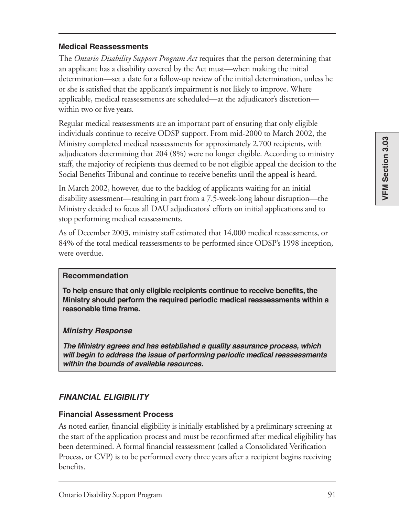#### **Medical Reassessments**

The *Ontario Disability Support Program Act* requires that the person determining that an applicant has a disability covered by the Act must—when making the initial determination—set a date for a follow-up review of the initial determination, unless he or she is satisfied that the applicant's impairment is not likely to improve. Where applicable, medical reassessments are scheduled—at the adjudicator's discretion within two or five years.

Regular medical reassessments are an important part of ensuring that only eligible individuals continue to receive ODSP support. From mid-2000 to March 2002, the Ministry completed medical reassessments for approximately 2,700 recipients, with adjudicators determining that 204 (8%) were no longer eligible. According to ministry staff, the majority of recipients thus deemed to be not eligible appeal the decision to the Social Benefits Tribunal and continue to receive benefits until the appeal is heard.

In March 2002, however, due to the backlog of applicants waiting for an initial disability assessment—resulting in part from a 7.5-week-long labour disruption—the Ministry decided to focus all DAU adjudicators' efforts on initial applications and to stop performing medical reassessments.

As of December 2003, ministry staff estimated that 14,000 medical reassessments, or 84% of the total medical reassessments to be performed since ODSP's 1998 inception, were overdue.

#### **Recommendation**

**To help ensure that only eligible recipients continue to receive benefits, the Ministry should perform the required periodic medical reassessments within a reasonable time frame.**

#### **Ministry Response**

**The Ministry agrees and has established a quality assurance process, which will begin to address the issue of performing periodic medical reassessments within the bounds of available resources.**

#### **FINANCIAL ELIGIBILITY**

#### **Financial Assessment Process**

As noted earlier, financial eligibility is initially established by a preliminary screening at the start of the application process and must be reconfirmed after medical eligibility has been determined. A formal financial reassessment (called a Consolidated Verification Process, or CVP) is to be performed every three years after a recipient begins receiving benefits.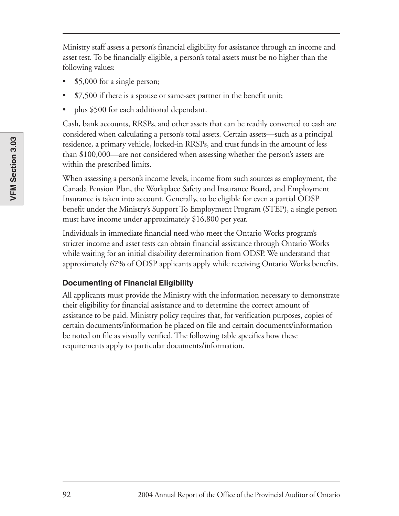Ministry staff assess a person's financial eligibility for assistance through an income and asset test. To be financially eligible, a person's total assets must be no higher than the following values:

- \$5,000 for a single person;
- \$7,500 if there is a spouse or same-sex partner in the benefit unit;
- plus \$500 for each additional dependant.

Cash, bank accounts, RRSPs, and other assets that can be readily converted to cash are considered when calculating a person's total assets. Certain assets—such as a principal residence, a primary vehicle, locked-in RRSPs, and trust funds in the amount of less than \$100,000—are not considered when assessing whether the person's assets are within the prescribed limits.

When assessing a person's income levels, income from such sources as employment, the Canada Pension Plan, the Workplace Safety and Insurance Board, and Employment Insurance is taken into account. Generally, to be eligible for even a partial ODSP benefit under the Ministry's Support To Employment Program (STEP), a single person must have income under approximately \$16,800 per year.

Individuals in immediate financial need who meet the Ontario Works program's stricter income and asset tests can obtain financial assistance through Ontario Works while waiting for an initial disability determination from ODSP. We understand that approximately 67% of ODSP applicants apply while receiving Ontario Works benefits.

#### **Documenting of Financial Eligibility**

All applicants must provide the Ministry with the information necessary to demonstrate their eligibility for financial assistance and to determine the correct amount of assistance to be paid. Ministry policy requires that, for verification purposes, copies of certain documents/information be placed on file and certain documents/information be noted on file as visually verified. The following table specifies how these requirements apply to particular documents/information.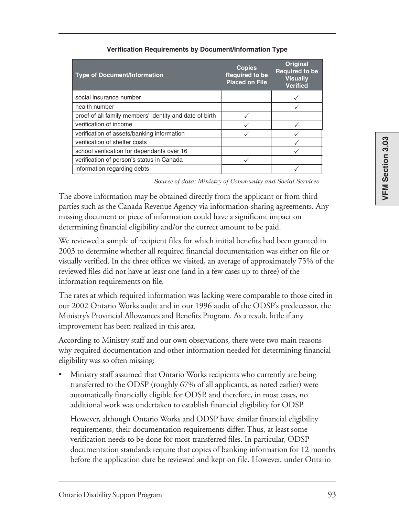| <b>Type of Document/Information</b>                     | <b>Copies</b><br><b>Required to be</b><br><b>Placed on File</b> | <b>Original</b><br><b>Required to be</b><br><b>Visually</b><br><b>Verified</b> |
|---------------------------------------------------------|-----------------------------------------------------------------|--------------------------------------------------------------------------------|
| social insurance number                                 |                                                                 |                                                                                |
| health number                                           |                                                                 |                                                                                |
| proof of all family members' identity and date of birth |                                                                 |                                                                                |
| verification of income                                  |                                                                 |                                                                                |
| verification of assets/banking information              |                                                                 |                                                                                |
| verification of shelter costs                           |                                                                 |                                                                                |
| school verification for dependants over 16              |                                                                 |                                                                                |
| verification of person's status in Canada               |                                                                 |                                                                                |
| information regarding debts                             |                                                                 |                                                                                |

#### **Verification Requirements by Document/Information Type**

*Source of data: Ministry of Community and Social Services* 

The above information may be obtained directly from the applicant or from third parties such as the Canada Revenue Agency via information-sharing agreements. Any missing document or piece of information could have a significant impact on determining financial eligibility and/or the correct amount to be paid.

We reviewed a sample of recipient files for which initial benefits had been granted in 2003 to determine whether all required financial documentation was either on file or visually verified. In the three offices we visited, an average of approximately 75% of the reviewed files did not have at least one (and in a few cases up to three) of the information requirements on file.

The rates at which required information was lacking were comparable to those cited in our 2002 Ontario Works audit and in our 1996 audit of the ODSP's predecessor, the Ministry's Provincial Allowances and Benefits Program. As a result, little if any improvement has been realized in this area.

According to Ministry staff and our own observations, there were two main reasons why required documentation and other information needed for determining financial eligibility was so often missing:

• Ministry staff assumed that Ontario Works recipients who currently are being transferred to the ODSP (roughly 67% of all applicants, as noted earlier) were automatically financially eligible for ODSP, and therefore, in most cases, no additional work was undertaken to establish financial eligibility for ODSP.

However, although Ontario Works and ODSP have similar financial eligibility requirements, their documentation requirements differ. Thus, at least some verification needs to be done for most transferred files. In particular, ODSP documentation standards require that copies of banking information for 12 months before the application date be reviewed and kept on file. However, under Ontario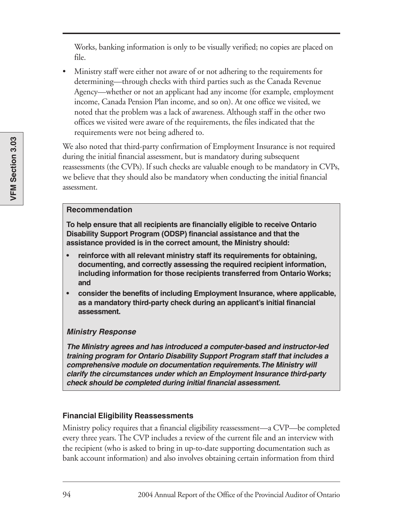Works, banking information is only to be visually verified; no copies are placed on file.

• Ministry staff were either not aware of or not adhering to the requirements for determining—through checks with third parties such as the Canada Revenue Agency—whether or not an applicant had any income (for example, employment income, Canada Pension Plan income, and so on). At one office we visited, we noted that the problem was a lack of awareness. Although staff in the other two offices we visited were aware of the requirements, the files indicated that the requirements were not being adhered to.

We also noted that third-party confirmation of Employment Insurance is not required during the initial financial assessment, but is mandatory during subsequent reassessments (the CVPs). If such checks are valuable enough to be mandatory in CVPs, we believe that they should also be mandatory when conducting the initial financial assessment.

#### **Recommendation**

**To help ensure that all recipients are financially eligible to receive Ontario Disability Support Program (ODSP) financial assistance and that the assistance provided is in the correct amount, the Ministry should:**

- **reinforce with all relevant ministry staff its requirements for obtaining, documenting, and correctly assessing the required recipient information, including information for those recipients transferred from Ontario Works; and**
- **consider the benefits of including Employment Insurance, where applicable, as a mandatory third-party check during an applicant's initial financial assessment.**

#### **Ministry Response**

**The Ministry agrees and has introduced a computer-based and instructor-led training program for Ontario Disability Support Program staff that includes a comprehensive module on documentation requirements. The Ministry will clarify the circumstances under which an Employment Insurance third-party check should be completed during initial financial assessment.**

#### **Financial Eligibility Reassessments**

Ministry policy requires that a financial eligibility reassessment—a CVP—be completed every three years. The CVP includes a review of the current file and an interview with the recipient (who is asked to bring in up-to-date supporting documentation such as bank account information) and also involves obtaining certain information from third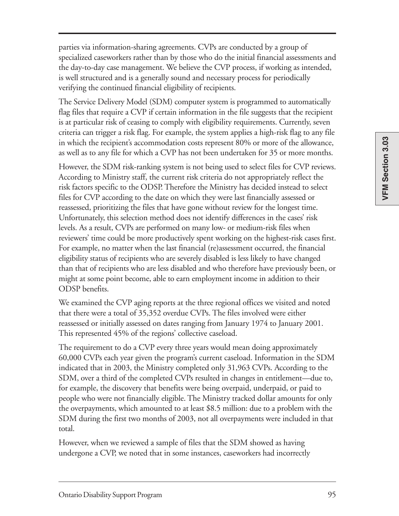VFM Section 3.03 **VFM Section 3.03**

parties via information-sharing agreements. CVPs are conducted by a group of specialized caseworkers rather than by those who do the initial financial assessments and the day-to-day case management. We believe the CVP process, if working as intended, is well structured and is a generally sound and necessary process for periodically verifying the continued financial eligibility of recipients.

The Service Delivery Model (SDM) computer system is programmed to automatically flag files that require a CVP if certain information in the file suggests that the recipient is at particular risk of ceasing to comply with eligibility requirements. Currently, seven criteria can trigger a risk flag. For example, the system applies a high-risk flag to any file in which the recipient's accommodation costs represent 80% or more of the allowance, as well as to any file for which a CVP has not been undertaken for 35 or more months.

However, the SDM risk-ranking system is not being used to select files for CVP reviews. According to Ministry staff, the current risk criteria do not appropriately reflect the risk factors specific to the ODSP. Therefore the Ministry has decided instead to select files for CVP according to the date on which they were last financially assessed or reassessed, prioritizing the files that have gone without review for the longest time. Unfortunately, this selection method does not identify differences in the cases' risk levels. As a result, CVPs are performed on many low- or medium-risk files when reviewers' time could be more productively spent working on the highest-risk cases first. For example, no matter when the last financial (re)assessment occurred, the financial eligibility status of recipients who are severely disabled is less likely to have changed than that of recipients who are less disabled and who therefore have previously been, or might at some point become, able to earn employment income in addition to their ODSP benefits.

We examined the CVP aging reports at the three regional offices we visited and noted that there were a total of 35,352 overdue CVPs. The files involved were either reassessed or initially assessed on dates ranging from January 1974 to January 2001. This represented 45% of the regions' collective caseload.

The requirement to do a CVP every three years would mean doing approximately 60,000 CVPs each year given the program's current caseload. Information in the SDM indicated that in 2003, the Ministry completed only 31,963 CVPs. According to the SDM, over a third of the completed CVPs resulted in changes in entitlement—due to, for example, the discovery that benefits were being overpaid, underpaid, or paid to people who were not financially eligible. The Ministry tracked dollar amounts for only the overpayments, which amounted to at least \$8.5 million: due to a problem with the SDM during the first two months of 2003, not all overpayments were included in that total.

However, when we reviewed a sample of files that the SDM showed as having undergone a CVP, we noted that in some instances, caseworkers had incorrectly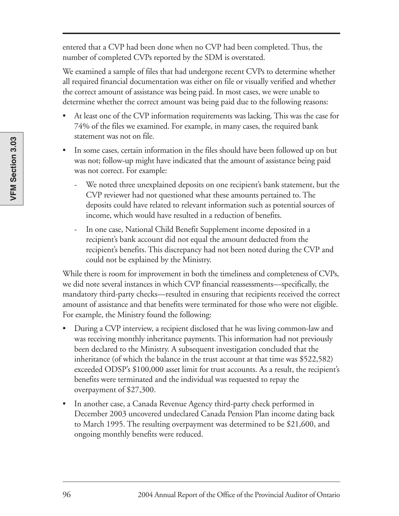entered that a CVP had been done when no CVP had been completed. Thus, the number of completed CVPs reported by the SDM is overstated.

We examined a sample of files that had undergone recent CVPs to determine whether all required financial documentation was either on file or visually verified and whether the correct amount of assistance was being paid. In most cases, we were unable to determine whether the correct amount was being paid due to the following reasons:

- At least one of the CVP information requirements was lacking. This was the case for 74% of the files we examined. For example, in many cases, the required bank statement was not on file.
- In some cases, certain information in the files should have been followed up on but was not; follow-up might have indicated that the amount of assistance being paid was not correct. For example:
	- We noted three unexplained deposits on one recipient's bank statement, but the CVP reviewer had not questioned what these amounts pertained to. The deposits could have related to relevant information such as potential sources of income, which would have resulted in a reduction of benefits.
	- In one case, National Child Benefit Supplement income deposited in a recipient's bank account did not equal the amount deducted from the recipient's benefits. This discrepancy had not been noted during the CVP and could not be explained by the Ministry.

While there is room for improvement in both the timeliness and completeness of CVPs, we did note several instances in which CVP financial reassessments—specifically, the mandatory third-party checks—resulted in ensuring that recipients received the correct amount of assistance and that benefits were terminated for those who were not eligible. For example, the Ministry found the following:

- During a CVP interview, a recipient disclosed that he was living common-law and was receiving monthly inheritance payments. This information had not previously been declared to the Ministry. A subsequent investigation concluded that the inheritance (of which the balance in the trust account at that time was \$522,582) exceeded ODSP's \$100,000 asset limit for trust accounts. As a result, the recipient's benefits were terminated and the individual was requested to repay the overpayment of \$27,300.
- In another case, a Canada Revenue Agency third-party check performed in December 2003 uncovered undeclared Canada Pension Plan income dating back to March 1995. The resulting overpayment was determined to be \$21,600, and ongoing monthly benefits were reduced.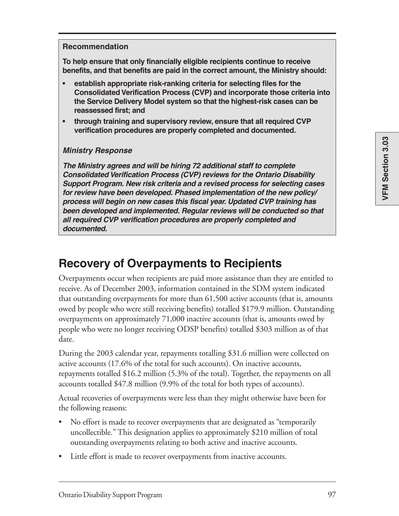#### **Recommendation**

**To help ensure that only financially eligible recipients continue to receive benefits, and that benefits are paid in the correct amount, the Ministry should:**

- **establish appropriate risk-ranking criteria for selecting files for the Consolidated Verification Process (CVP) and incorporate those criteria into the Service Delivery Model system so that the highest-risk cases can be reassessed first; and**
- **through training and supervisory review, ensure that all required CVP verification procedures are properly completed and documented.**

#### **Ministry Response**

**The Ministry agrees and will be hiring 72 additional staff to complete Consolidated Verification Process (CVP) reviews for the Ontario Disability Support Program. New risk criteria and a revised process for selecting cases for review have been developed. Phased implementation of the new policy/ process will begin on new cases this fiscal year. Updated CVP training has been developed and implemented. Regular reviews will be conducted so that all required CVP verification procedures are properly completed and documented.**

### **Recovery of Overpayments to Recipients**

Overpayments occur when recipients are paid more assistance than they are entitled to receive. As of December 2003, information contained in the SDM system indicated that outstanding overpayments for more than 61,500 active accounts (that is, amounts owed by people who were still receiving benefits) totalled \$179.9 million. Outstanding overpayments on approximately 71,000 inactive accounts (that is, amounts owed by people who were no longer receiving ODSP benefits) totalled \$303 million as of that date.

During the 2003 calendar year, repayments totalling \$31.6 million were collected on active accounts (17.6% of the total for such accounts). On inactive accounts, repayments totalled \$16.2 million (5.3% of the total). Together, the repayments on all accounts totalled \$47.8 million (9.9% of the total for both types of accounts).

Actual recoveries of overpayments were less than they might otherwise have been for the following reasons:

- No effort is made to recover overpayments that are designated as "temporarily" uncollectible." This designation applies to approximately \$210 million of total outstanding overpayments relating to both active and inactive accounts.
- Little effort is made to recover overpayments from inactive accounts.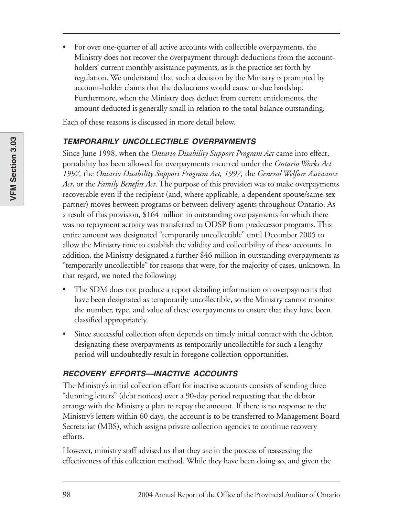• For over one-quarter of all active accounts with collectible overpayments, the Ministry does not recover the overpayment through deductions from the accountholders' current monthly assistance payments, as is the practice set forth by regulation. We understand that such a decision by the Ministry is prompted by account-holder claims that the deductions would cause undue hardship. Furthermore, when the Ministry does deduct from current entitlements, the amount deducted is generally small in relation to the total balance outstanding.

Each of these reasons is discussed in more detail below.

#### **TEMPORARILY UNCOLLECTIBLE OVERPAYMENTS**

Since June 1998, when the *Ontario Disability Support Program Act* came into effect, portability has been allowed for overpayments incurred under the *Ontario Works Act 1997,* the *Ontario Disability Support Program Act, 1997,* the *General Welfare Assistance Act*, or the *Family Benefits Act*. The purpose of this provision was to make overpayments recoverable even if the recipient (and, where applicable, a dependent spouse/same-sex partner) moves between programs or between delivery agents throughout Ontario. As a result of this provision, \$164 million in outstanding overpayments for which there was no repayment activity was transferred to ODSP from predecessor programs. This entire amount was designated "temporarily uncollectible" until December 2005 to allow the Ministry time to establish the validity and collectibility of these accounts. In addition, the Ministry designated a further \$46 million in outstanding overpayments as "temporarily uncollectible" for reasons that were, for the majority of cases, unknown. In that regard, we noted the following:

- The SDM does not produce a report detailing information on overpayments that have been designated as temporarily uncollectible, so the Ministry cannot monitor the number, type, and value of these overpayments to ensure that they have been classified appropriately.
- Since successful collection often depends on timely initial contact with the debtor, designating these overpayments as temporarily uncollectible for such a lengthy period will undoubtedly result in foregone collection opportunities.

#### **RECOVERY EFFORTS—INACTIVE ACCOUNTS**

The Ministry's initial collection effort for inactive accounts consists of sending three "dunning letters" (debt notices) over a 90-day period requesting that the debtor arrange with the Ministry a plan to repay the amount. If there is no response to the Ministry's letters within 60 days, the account is to be transferred to Management Board Secretariat (MBS), which assigns private collection agencies to continue recovery efforts.

However, ministry staff advised us that they are in the process of reassessing the effectiveness of this collection method. While they have been doing so, and given the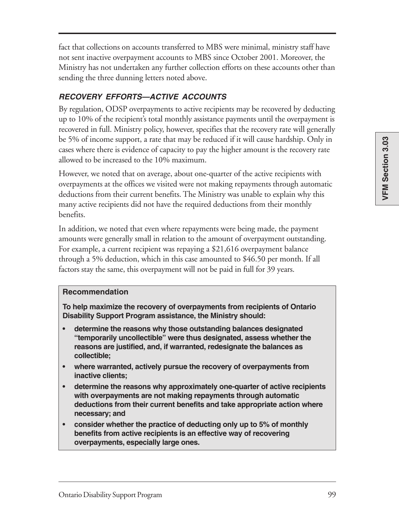fact that collections on accounts transferred to MBS were minimal, ministry staff have not sent inactive overpayment accounts to MBS since October 2001. Moreover, the Ministry has not undertaken any further collection efforts on these accounts other than sending the three dunning letters noted above.

#### **RECOVERY EFFORTS—ACTIVE ACCOUNTS**

By regulation, ODSP overpayments to active recipients may be recovered by deducting up to 10% of the recipient's total monthly assistance payments until the overpayment is recovered in full. Ministry policy, however, specifies that the recovery rate will generally be 5% of income support, a rate that may be reduced if it will cause hardship. Only in cases where there is evidence of capacity to pay the higher amount is the recovery rate allowed to be increased to the 10% maximum.

However, we noted that on average, about one-quarter of the active recipients with overpayments at the offices we visited were not making repayments through automatic deductions from their current benefits. The Ministry was unable to explain why this many active recipients did not have the required deductions from their monthly benefits.

In addition, we noted that even where repayments were being made, the payment amounts were generally small in relation to the amount of overpayment outstanding. For example, a current recipient was repaying a \$21,616 overpayment balance through a 5% deduction, which in this case amounted to \$46.50 per month. If all factors stay the same, this overpayment will not be paid in full for 39 years.

#### **Recommendation**

**To help maximize the recovery of overpayments from recipients of Ontario Disability Support Program assistance, the Ministry should:**

- **determine the reasons why those outstanding balances designated "temporarily uncollectible" were thus designated, assess whether the reasons are justified, and, if warranted, redesignate the balances as collectible;**
- **where warranted, actively pursue the recovery of overpayments from inactive clients;**
- **determine the reasons why approximately one-quarter of active recipients with overpayments are not making repayments through automatic deductions from their current benefits and take appropriate action where necessary; and**
- **consider whether the practice of deducting only up to 5% of monthly benefits from active recipients is an effective way of recovering overpayments, especially large ones.**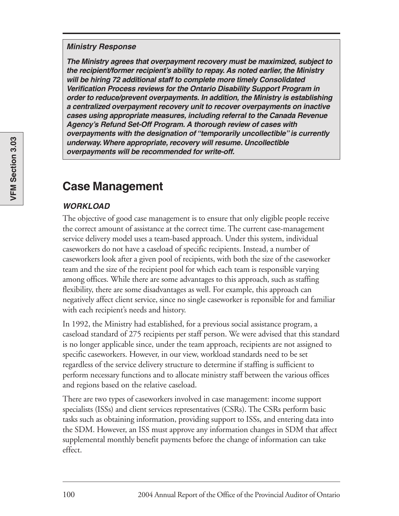#### **Ministry Response**

**The Ministry agrees that overpayment recovery must be maximized, subject to the recipient/former recipient's ability to repay. As noted earlier, the Ministry will be hiring 72 additional staff to complete more timely Consolidated Verification Process reviews for the Ontario Disability Support Program in order to reduce/prevent overpayments. In addition, the Ministry is establishing a centralized overpayment recovery unit to recover overpayments on inactive cases using appropriate measures, including referral to the Canada Revenue Agency's Refund Set-Off Program. A thorough review of cases with overpayments with the designation of "temporarily uncollectible" is currently underway. Where appropriate, recovery will resume. Uncollectible overpayments will be recommended for write-off.**

### **Case Management**

#### **WORKLOAD**

The objective of good case management is to ensure that only eligible people receive the correct amount of assistance at the correct time. The current case-management service delivery model uses a team-based approach. Under this system, individual caseworkers do not have a caseload of specific recipients. Instead, a number of caseworkers look after a given pool of recipients, with both the size of the caseworker team and the size of the recipient pool for which each team is responsible varying among offices. While there are some advantages to this approach, such as staffing flexibility, there are some disadvantages as well. For example, this approach can negatively affect client service, since no single caseworker is reponsible for and familiar with each recipient's needs and history.

In 1992, the Ministry had established, for a previous social assistance program, a caseload standard of 275 recipients per staff person. We were advised that this standard is no longer applicable since, under the team approach, recipients are not assigned to specific caseworkers. However, in our view, workload standards need to be set regardless of the service delivery structure to determine if staffing is sufficient to perform necessary functions and to allocate ministry staff between the various offices and regions based on the relative caseload.

There are two types of caseworkers involved in case management: income support specialists (ISSs) and client services representatives (CSRs). The CSRs perform basic tasks such as obtaining information, providing support to ISSs, and entering data into the SDM. However, an ISS must approve any information changes in SDM that affect supplemental monthly benefit payments before the change of information can take effect.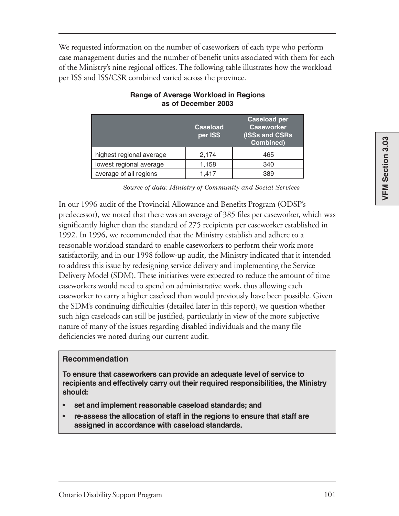We requested information on the number of caseworkers of each type who perform case management duties and the number of benefit units associated with them for each of the Ministry's nine regional offices. The following table illustrates how the workload per ISS and ISS/CSR combined varied across the province.

|                          | <b>Caseload</b><br>per ISS | <b>Caseload per</b><br><b>Caseworker</b><br>(ISSs and CSRs)<br>Combined) |
|--------------------------|----------------------------|--------------------------------------------------------------------------|
| highest regional average | 2,174                      | 465                                                                      |
| lowest regional average  | 1,158                      | 340                                                                      |
| average of all regions   | 1.417                      | 389                                                                      |

#### **Range of Average Workload in Regions as of December 2003**

*Source of data: Ministry of Community and Social Services* 

In our 1996 audit of the Provincial Allowance and Benefits Program (ODSP's predecessor), we noted that there was an average of 385 files per caseworker, which was significantly higher than the standard of 275 recipients per caseworker established in 1992. In 1996, we recommended that the Ministry establish and adhere to a reasonable workload standard to enable caseworkers to perform their work more satisfactorily, and in our 1998 follow-up audit, the Ministry indicated that it intended to address this issue by redesigning service delivery and implementing the Service Delivery Model (SDM). These initiatives were expected to reduce the amount of time caseworkers would need to spend on administrative work, thus allowing each caseworker to carry a higher caseload than would previously have been possible. Given the SDM's continuing difficulties (detailed later in this report), we question whether such high caseloads can still be justified, particularly in view of the more subjective nature of many of the issues regarding disabled individuals and the many file deficiencies we noted during our current audit.

#### **Recommendation**

**To ensure that caseworkers can provide an adequate level of service to recipients and effectively carry out their required responsibilities, the Ministry should:**

- **set and implement reasonable caseload standards; and**
- **re-assess the allocation of staff in the regions to ensure that staff are assigned in accordance with caseload standards.**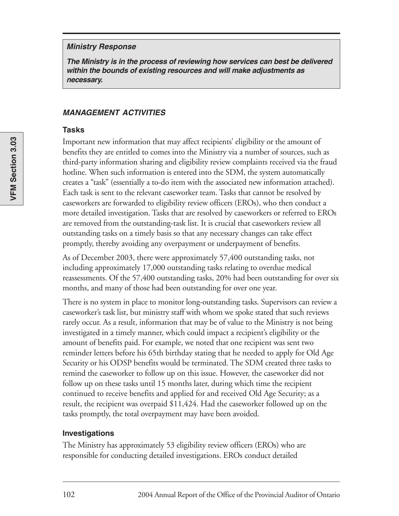#### **Ministry Response**

**The Ministry is in the process of reviewing how services can best be delivered within the bounds of existing resources and will make adjustments as necessary.**

#### **MANAGEMENT ACTIVITIES**

#### **Tasks**

Important new information that may affect recipients' eligibility or the amount of benefits they are entitled to comes into the Ministry via a number of sources, such as third-party information sharing and eligibility review complaints received via the fraud hotline. When such information is entered into the SDM, the system automatically creates a "task" (essentially a to-do item with the associated new information attached). Each task is sent to the relevant caseworker team. Tasks that cannot be resolved by caseworkers are forwarded to eligibility review officers (EROs), who then conduct a more detailed investigation. Tasks that are resolved by caseworkers or referred to EROs are removed from the outstanding-task list. It is crucial that caseworkers review all outstanding tasks on a timely basis so that any necessary changes can take effect promptly, thereby avoiding any overpayment or underpayment of benefits.

As of December 2003, there were approximately 57,400 outstanding tasks, not including approximately 17,000 outstanding tasks relating to overdue medical reassessments. Of the 57,400 outstanding tasks, 20% had been outstanding for over six months, and many of those had been outstanding for over one year.

There is no system in place to monitor long-outstanding tasks. Supervisors can review a caseworker's task list, but ministry staff with whom we spoke stated that such reviews rarely occur. As a result, information that may be of value to the Ministry is not being investigated in a timely manner, which could impact a recipient's eligibility or the amount of benefits paid. For example, we noted that one recipient was sent two reminder letters before his 65th birthday stating that he needed to apply for Old Age Security or his ODSP benefits would be terminated. The SDM created three tasks to remind the caseworker to follow up on this issue. However, the caseworker did not follow up on these tasks until 15 months later, during which time the recipient continued to receive benefits and applied for and received Old Age Security; as a result, the recipient was overpaid \$11,424. Had the caseworker followed up on the tasks promptly, the total overpayment may have been avoided.

#### **Investigations**

The Ministry has approximately 53 eligibility review officers (EROs) who are responsible for conducting detailed investigations. EROs conduct detailed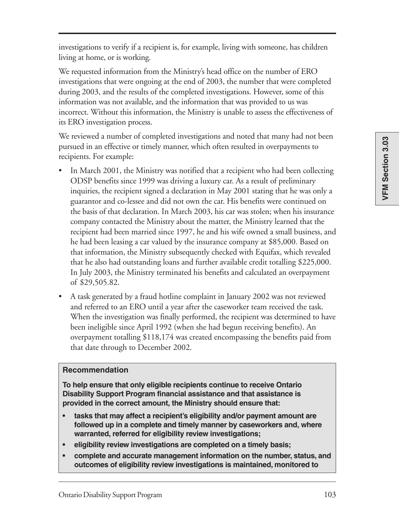VFM Section 3.03 **VFM Section 3.03**

investigations to verify if a recipient is, for example, living with someone, has children living at home, or is working.

We requested information from the Ministry's head office on the number of ERO investigations that were ongoing at the end of 2003, the number that were completed during 2003, and the results of the completed investigations. However, some of this information was not available, and the information that was provided to us was incorrect. Without this information, the Ministry is unable to assess the effectiveness of its ERO investigation process.

We reviewed a number of completed investigations and noted that many had not been pursued in an effective or timely manner, which often resulted in overpayments to recipients. For example:

- In March 2001, the Ministry was notified that a recipient who had been collecting ODSP benefits since 1999 was driving a luxury car. As a result of preliminary inquiries, the recipient signed a declaration in May 2001 stating that he was only a guarantor and co-lessee and did not own the car. His benefits were continued on the basis of that declaration. In March 2003, his car was stolen; when his insurance company contacted the Ministry about the matter, the Ministry learned that the recipient had been married since 1997, he and his wife owned a small business, and he had been leasing a car valued by the insurance company at \$85,000. Based on that information, the Ministry subsequently checked with Equifax, which revealed that he also had outstanding loans and further available credit totalling \$225,000. In July 2003, the Ministry terminated his benefits and calculated an overpayment of \$29,505.82.
- A task generated by a fraud hotline complaint in January 2002 was not reviewed and referred to an ERO until a year after the caseworker team received the task. When the investigation was finally performed, the recipient was determined to have been ineligible since April 1992 (when she had begun receiving benefits). An overpayment totalling \$118,174 was created encompassing the benefits paid from that date through to December 2002.

#### **Recommendation**

**To help ensure that only eligible recipients continue to receive Ontario Disability Support Program financial assistance and that assistance is provided in the correct amount, the Ministry should ensure that:**

- **tasks that may affect a recipient's eligibility and/or payment amount are followed up in a complete and timely manner by caseworkers and, where warranted, referred for eligibility review investigations;**
- **eligibility review investigations are completed on a timely basis;**
- **complete and accurate management information on the number, status, and outcomes of eligibility review investigations is maintained, monitored to**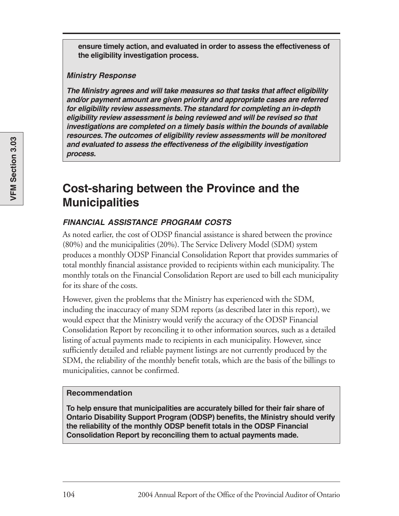**ensure timely action, and evaluated in order to assess the effectiveness of the eligibility investigation process.**

#### **Ministry Response**

**The Ministry agrees and will take measures so that tasks that affect eligibility and/or payment amount are given priority and appropriate cases are referred for eligibility review assessments. The standard for completing an in-depth eligibility review assessment is being reviewed and will be revised so that investigations are completed on a timely basis within the bounds of available resources. The outcomes of eligibility review assessments will be monitored and evaluated to assess the effectiveness of the eligibility investigation process.**

### **Cost-sharing between the Province and the Municipalities**

#### **FINANCIAL ASSISTANCE PROGRAM COSTS**

As noted earlier, the cost of ODSP financial assistance is shared between the province (80%) and the municipalities (20%). The Service Delivery Model (SDM) system produces a monthly ODSP Financial Consolidation Report that provides summaries of total monthly financial assistance provided to recipients within each municipality. The monthly totals on the Financial Consolidation Report are used to bill each municipality for its share of the costs.

However, given the problems that the Ministry has experienced with the SDM, including the inaccuracy of many SDM reports (as described later in this report), we would expect that the Ministry would verify the accuracy of the ODSP Financial Consolidation Report by reconciling it to other information sources, such as a detailed listing of actual payments made to recipients in each municipality. However, since sufficiently detailed and reliable payment listings are not currently produced by the SDM, the reliability of the monthly benefit totals, which are the basis of the billings to municipalities, cannot be confirmed.

#### **Recommendation**

**To help ensure that municipalities are accurately billed for their fair share of Ontario Disability Support Program (ODSP) benefits, the Ministry should verify the reliability of the monthly ODSP benefit totals in the ODSP Financial Consolidation Report by reconciling them to actual payments made.**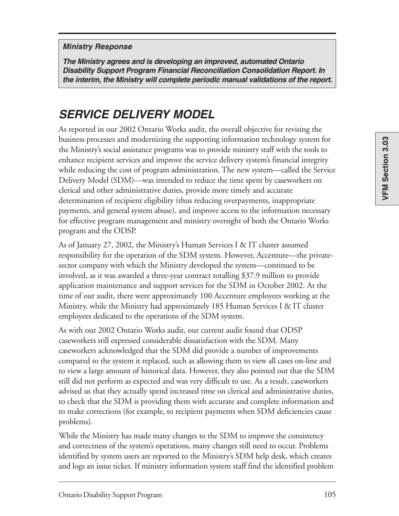#### **Ministry Response**

**The Ministry agrees and is developing an improved, automated Ontario Disability Support Program Financial Reconciliation Consolidation Report. In the interim, the Ministry will complete periodic manual validations of the report.**

### **SERVICE DELIVERY MODEL**

As reported in our 2002 Ontario Works audit, the overall objective for revising the business processes and modernizing the supporting information technology system for the Ministry's social assistance programs was to provide ministry staff with the tools to enhance recipient services and improve the service delivery system's financial integrity while reducing the cost of program administration. The new system—called the Service Delivery Model (SDM)—was intended to reduce the time spent by caseworkers on clerical and other administrative duties, provide more timely and accurate determination of recipient eligibility (thus reducing overpayments, inappropriate payments, and general system abuse), and improve access to the information necessary for effective program management and ministry oversight of both the Ontario Works program and the ODSP.

As of January 27, 2002, the Ministry's Human Services I & IT cluster assumed responsibility for the operation of the SDM system. However, Accenture—the privatesector company with which the Ministry developed the system—continued to be involved, as it was awarded a three-year contract totalling \$37.9 million to provide application maintenance and support services for the SDM in October 2002. At the time of our audit, there were approximately 100 Accenture employees working at the Ministry, while the Ministry had approximately 185 Human Services I & IT cluster employees dedicated to the operations of the SDM system.

As with our 2002 Ontario Works audit, our current audit found that ODSP caseworkers still expressed considerable dissatisfaction with the SDM. Many caseworkers acknowledged that the SDM did provide a number of improvements compared to the system it replaced, such as allowing them to view all cases on-line and to view a large amount of historical data. However, they also pointed out that the SDM still did not perform as expected and was very difficult to use. As a result, caseworkers advised us that they actually spend increased time on clerical and administrative duties, to check that the SDM is providing them with accurate and complete information and to make corrections (for example, to recipient payments when SDM deficiencies cause problems).

While the Ministry has made many changes to the SDM to improve the consistency and correctness of the system's operations, many changes still need to occur. Problems identified by system users are reported to the Ministry's SDM help desk, which creates and logs an issue ticket. If ministry information system staff find the identified problem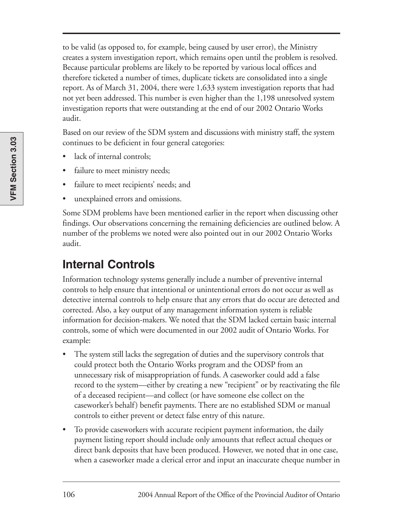to be valid (as opposed to, for example, being caused by user error), the Ministry creates a system investigation report, which remains open until the problem is resolved. Because particular problems are likely to be reported by various local offices and therefore ticketed a number of times, duplicate tickets are consolidated into a single report. As of March 31, 2004, there were 1,633 system investigation reports that had not yet been addressed. This number is even higher than the 1,198 unresolved system investigation reports that were outstanding at the end of our 2002 Ontario Works audit.

Based on our review of the SDM system and discussions with ministry staff, the system continues to be deficient in four general categories:

- lack of internal controls;
- failure to meet ministry needs;
- failure to meet recipients' needs; and
- unexplained errors and omissions.

Some SDM problems have been mentioned earlier in the report when discussing other findings. Our observations concerning the remaining deficiencies are outlined below. A number of the problems we noted were also pointed out in our 2002 Ontario Works audit.

# **Internal Controls**

Information technology systems generally include a number of preventive internal controls to help ensure that intentional or unintentional errors do not occur as well as detective internal controls to help ensure that any errors that do occur are detected and corrected. Also, a key output of any management information system is reliable information for decision-makers. We noted that the SDM lacked certain basic internal controls, some of which were documented in our 2002 audit of Ontario Works. For example:

- The system still lacks the segregation of duties and the supervisory controls that could protect both the Ontario Works program and the ODSP from an unnecessary risk of misappropriation of funds. A caseworker could add a false record to the system—either by creating a new "recipient" or by reactivating the file of a deceased recipient—and collect (or have someone else collect on the caseworker's behalf) benefit payments. There are no established SDM or manual controls to either prevent or detect false entry of this nature.
- To provide caseworkers with accurate recipient payment information, the daily payment listing report should include only amounts that reflect actual cheques or direct bank deposits that have been produced. However, we noted that in one case, when a caseworker made a clerical error and input an inaccurate cheque number in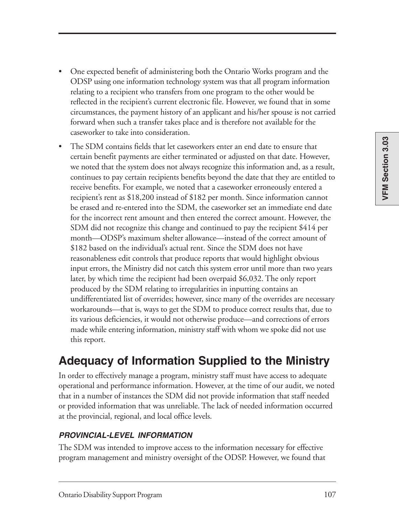- One expected benefit of administering both the Ontario Works program and the ODSP using one information technology system was that all program information relating to a recipient who transfers from one program to the other would be reflected in the recipient's current electronic file. However, we found that in some circumstances, the payment history of an applicant and his/her spouse is not carried forward when such a transfer takes place and is therefore not available for the caseworker to take into consideration.
- The SDM contains fields that let caseworkers enter an end date to ensure that certain benefit payments are either terminated or adjusted on that date. However, we noted that the system does not always recognize this information and, as a result, continues to pay certain recipients benefits beyond the date that they are entitled to receive benefits. For example, we noted that a caseworker erroneously entered a recipient's rent as \$18,200 instead of \$182 per month. Since information cannot be erased and re-entered into the SDM, the caseworker set an immediate end date for the incorrect rent amount and then entered the correct amount. However, the SDM did not recognize this change and continued to pay the recipient \$414 per month—ODSP's maximum shelter allowance—instead of the correct amount of \$182 based on the individual's actual rent. Since the SDM does not have reasonableness edit controls that produce reports that would highlight obvious input errors, the Ministry did not catch this system error until more than two years later, by which time the recipient had been overpaid \$6,032. The only report produced by the SDM relating to irregularities in inputting contains an undifferentiated list of overrides; however, since many of the overrides are necessary workarounds—that is, ways to get the SDM to produce correct results that, due to its various deficiencies, it would not otherwise produce—and corrections of errors made while entering information, ministry staff with whom we spoke did not use this report.

# **Adequacy of Information Supplied to the Ministry**

In order to effectively manage a program, ministry staff must have access to adequate operational and performance information. However, at the time of our audit, we noted that in a number of instances the SDM did not provide information that staff needed or provided information that was unreliable. The lack of needed information occurred at the provincial, regional, and local office levels.

#### **PROVINCIAL-LEVEL INFORMATION**

The SDM was intended to improve access to the information necessary for effective program management and ministry oversight of the ODSP. However, we found that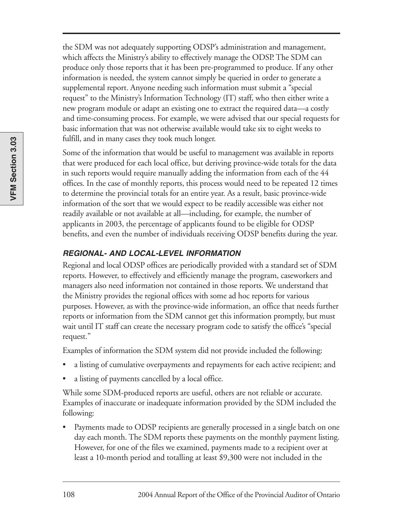the SDM was not adequately supporting ODSP's administration and management, which affects the Ministry's ability to effectively manage the ODSP. The SDM can produce only those reports that it has been pre-programmed to produce. If any other information is needed, the system cannot simply be queried in order to generate a supplemental report. Anyone needing such information must submit a "special request" to the Ministry's Information Technology (IT) staff, who then either write a new program module or adapt an existing one to extract the required data—a costly and time-consuming process. For example, we were advised that our special requests for basic information that was not otherwise available would take six to eight weeks to fulfill, and in many cases they took much longer.

Some of the information that would be useful to management was available in reports that were produced for each local office, but deriving province-wide totals for the data in such reports would require manually adding the information from each of the 44 offices. In the case of monthly reports, this process would need to be repeated 12 times to determine the provincial totals for an entire year. As a result, basic province-wide information of the sort that we would expect to be readily accessible was either not readily available or not available at all—including, for example, the number of applicants in 2003, the percentage of applicants found to be eligible for ODSP benefits, and even the number of individuals receiving ODSP benefits during the year.

#### **REGIONAL- AND LOCAL-LEVEL INFORMATION**

Regional and local ODSP offices are periodically provided with a standard set of SDM reports. However, to effectively and efficiently manage the program, caseworkers and managers also need information not contained in those reports. We understand that the Ministry provides the regional offices with some ad hoc reports for various purposes. However, as with the province-wide information, an office that needs further reports or information from the SDM cannot get this information promptly, but must wait until IT staff can create the necessary program code to satisfy the office's "special request."

Examples of information the SDM system did not provide included the following:

- a listing of cumulative overpayments and repayments for each active recipient; and
- a listing of payments cancelled by a local office.

While some SDM-produced reports are useful, others are not reliable or accurate. Examples of inaccurate or inadequate information provided by the SDM included the following:

Payments made to ODSP recipients are generally processed in a single batch on one day each month. The SDM reports these payments on the monthly payment listing. However, for one of the files we examined, payments made to a recipient over at least a 10-month period and totalling at least \$9,300 were not included in the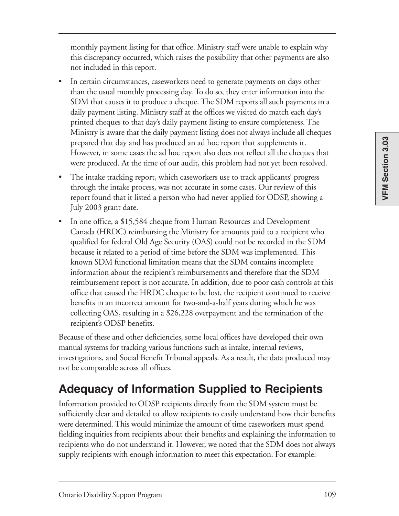monthly payment listing for that office. Ministry staff were unable to explain why this discrepancy occurred, which raises the possibility that other payments are also not included in this report.

- In certain circumstances, caseworkers need to generate payments on days other than the usual monthly processing day. To do so, they enter information into the SDM that causes it to produce a cheque. The SDM reports all such payments in a daily payment listing. Ministry staff at the offices we visited do match each day's printed cheques to that day's daily payment listing to ensure completeness. The Ministry is aware that the daily payment listing does not always include all cheques prepared that day and has produced an ad hoc report that supplements it. However, in some cases the ad hoc report also does not reflect all the cheques that were produced. At the time of our audit, this problem had not yet been resolved.
- The intake tracking report, which caseworkers use to track applicants' progress through the intake process, was not accurate in some cases. Our review of this report found that it listed a person who had never applied for ODSP, showing a July 2003 grant date.
- In one office, a \$15,584 cheque from Human Resources and Development Canada (HRDC) reimbursing the Ministry for amounts paid to a recipient who qualified for federal Old Age Security (OAS) could not be recorded in the SDM because it related to a period of time before the SDM was implemented. This known SDM functional limitation means that the SDM contains incomplete information about the recipient's reimbursements and therefore that the SDM reimbursement report is not accurate. In addition, due to poor cash controls at this office that caused the HRDC cheque to be lost, the recipient continued to receive benefits in an incorrect amount for two-and-a-half years during which he was collecting OAS, resulting in a \$26,228 overpayment and the termination of the recipient's ODSP benefits.

Because of these and other deficiencies, some local offices have developed their own manual systems for tracking various functions such as intake, internal reviews, investigations, and Social Benefit Tribunal appeals. As a result, the data produced may not be comparable across all offices.

# **Adequacy of Information Supplied to Recipients**

Information provided to ODSP recipients directly from the SDM system must be sufficiently clear and detailed to allow recipients to easily understand how their benefits were determined. This would minimize the amount of time caseworkers must spend fielding inquiries from recipients about their benefits and explaining the information to recipients who do not understand it. However, we noted that the SDM does not always supply recipients with enough information to meet this expectation. For example: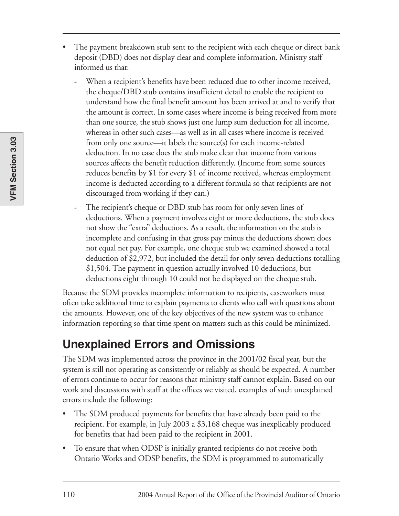- The payment breakdown stub sent to the recipient with each cheque or direct bank deposit (DBD) does not display clear and complete information. Ministry staff informed us that:
	- **-** When a recipient's benefits have been reduced due to other income received, the cheque/DBD stub contains insufficient detail to enable the recipient to understand how the final benefit amount has been arrived at and to verify that the amount is correct. In some cases where income is being received from more than one source, the stub shows just one lump sum deduction for all income, whereas in other such cases—as well as in all cases where income is received from only one source—it labels the source(s) for each income-related deduction. In no case does the stub make clear that income from various sources affects the benefit reduction differently. (Income from some sources reduces benefits by \$1 for every \$1 of income received, whereas employment income is deducted according to a different formula so that recipients are not discouraged from working if they can.)
	- **-** The recipient's cheque or DBD stub has room for only seven lines of deductions. When a payment involves eight or more deductions, the stub does not show the "extra" deductions. As a result, the information on the stub is incomplete and confusing in that gross pay minus the deductions shown does not equal net pay. For example, one cheque stub we examined showed a total deduction of \$2,972, but included the detail for only seven deductions totalling \$1,504. The payment in question actually involved 10 deductions, but deductions eight through 10 could not be displayed on the cheque stub.

Because the SDM provides incomplete information to recipients, caseworkers must often take additional time to explain payments to clients who call with questions about the amounts. However, one of the key objectives of the new system was to enhance information reporting so that time spent on matters such as this could be minimized.

# **Unexplained Errors and Omissions**

The SDM was implemented across the province in the 2001/02 fiscal year, but the system is still not operating as consistently or reliably as should be expected. A number of errors continue to occur for reasons that ministry staff cannot explain. Based on our work and discussions with staff at the offices we visited, examples of such unexplained errors include the following:

- The SDM produced payments for benefits that have already been paid to the recipient. For example, in July 2003 a \$3,168 cheque was inexplicably produced for benefits that had been paid to the recipient in 2001.
- To ensure that when ODSP is initially granted recipients do not receive both Ontario Works and ODSP benefits, the SDM is programmed to automatically

**VFM Section 3.03**

VFM Section 3.03